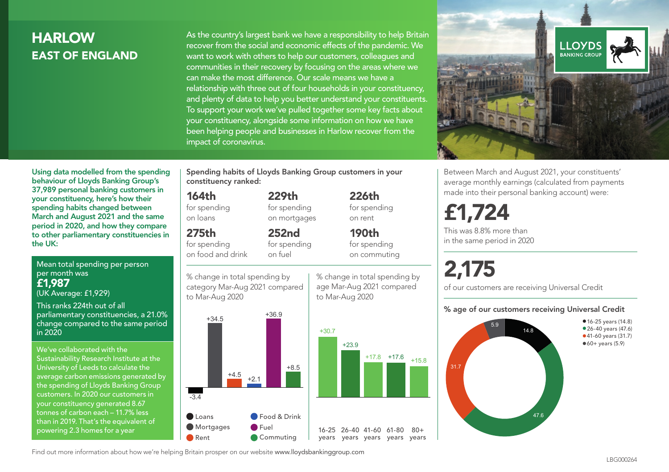# **HARLOW** EAST OF ENGLAND

As the country's largest bank we have a responsibility to help Britain recover from the social and economic effects of the pandemic. We want to work with others to help our customers, colleagues and communities in their recovery by focusing on the areas where we can make the most difference. Our scale means we have a relationship with three out of four households in your constituency, and plenty of data to help you better understand your constituents. To support your work we've pulled together some key facts about your constituency, alongside some information on how we have been helping people and businesses in Harlow recover from the impact of coronavirus.



Between March and August 2021, your constituents' average monthly earnings (calculated from payments made into their personal banking account) were:

# £1,724

This was 8.8% more than in the same period in 2020

# 2,175

of our customers are receiving Universal Credit

#### % age of our customers receiving Universal Credit



Using data modelled from the spending behaviour of Lloyds Banking Group's 37,989 personal banking customers in your constituency, here's how their spending habits changed between March and August 2021 and the same period in 2020, and how they compare to other parliamentary constituencies in the UK:

Mean total spending per person per month was £1,987 (UK Average: £1,929)

This ranks 224th out of all parliamentary constituencies, a 21.0% change compared to the same period in 2020

We've collaborated with the Sustainability Research Institute at the University of Leeds to calculate the average carbon emissions generated by the spending of Lloyds Banking Group customers. In 2020 our customers in your constituency generated 8.67 tonnes of carbon each – 11.7% less than in 2019. That's the equivalent of powering 2.3 homes for a year

Spending habits of Lloyds Banking Group customers in your constituency ranked:

> 229th for spending on mortgages

252nd for spending

#### 164th

for spending on loans

### 275th

for spending on food and drink

on fuel

% change in total spending by category Mar-Aug 2021 compared to Mar-Aug 2020



% change in total spending by age Mar-Aug 2021 compared to Mar-Aug 2020

226th for spending on rent 190th

 $80+$ 

for spending on commuting